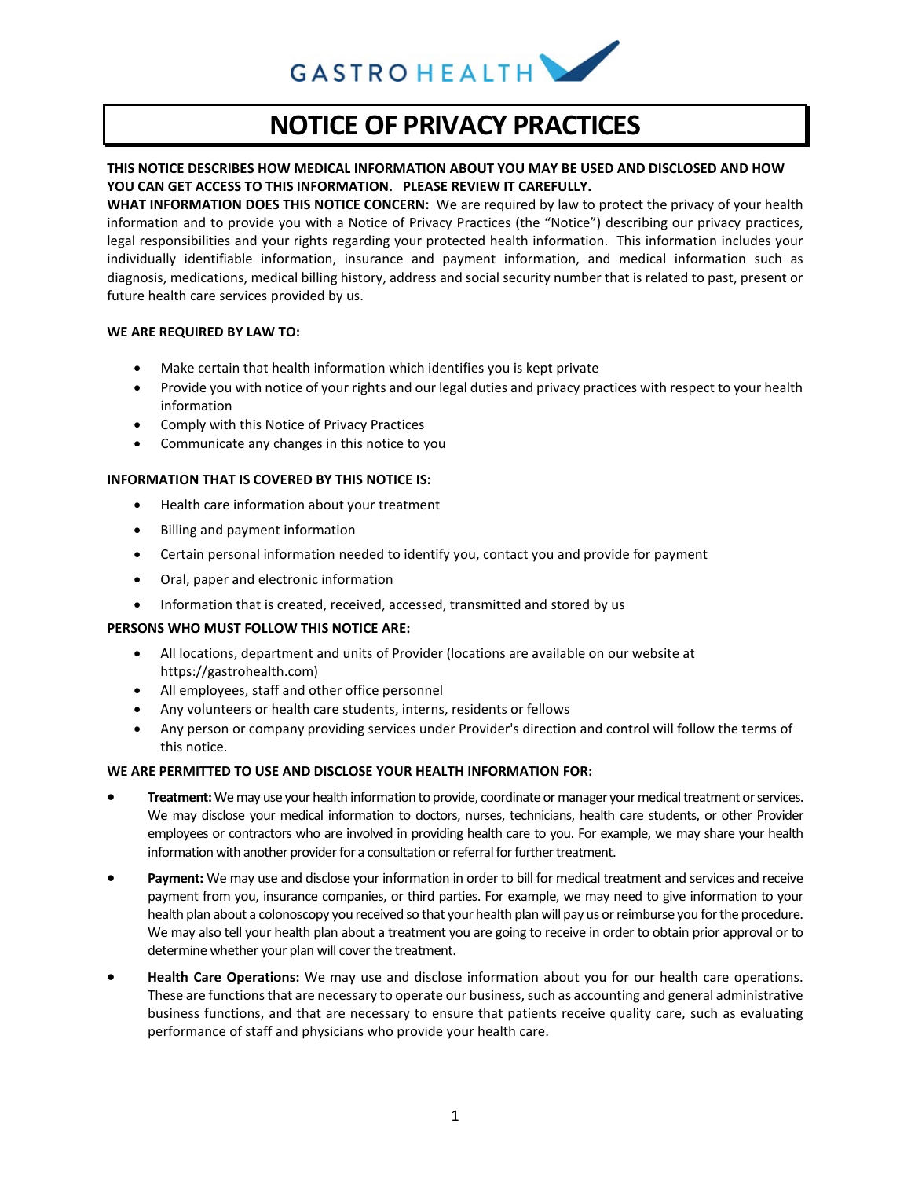

# **NOTICE OF PRIVACY PRACTICES**

# **THIS NOTICE DESCRIBES HOW MEDICAL INFORMATION ABOUT YOU MAY BE USED AND DISCLOSED AND HOW YOU CAN GET ACCESS TO THIS INFORMATION. PLEASE REVIEW IT CAREFULLY.**

**WHAT INFORMATION DOES THIS NOTICE CONCERN:** We are required by law to protect the privacy of your health information and to provide you with a Notice of Privacy Practices (the "Notice") describing our privacy practices, legal responsibilities and your rights regarding your protected health information. This information includes your individually identifiable information, insurance and payment information, and medical information such as diagnosis, medications, medical billing history, address and social security number that is related to past, present or future health care services provided by us.

# **WE ARE REQUIRED BY LAW TO:**

- Make certain that health information which identifies you is kept private
- Provide you with notice of your rights and our legal duties and privacy practices with respect to your health information
- Comply with this Notice of Privacy Practices
- Communicate any changes in this notice to you

#### **INFORMATION THAT IS COVERED BY THIS NOTICE IS:**

- Health care information about your treatment
- Billing and payment information
- Certain personal information needed to identify you, contact you and provide for payment
- Oral, paper and electronic information
- Information that is created, received, accessed, transmitted and stored by us

# **PERSONS WHO MUST FOLLOW THIS NOTICE ARE:**

- All locations, department and units of Provider (locations are available on our website at https://gastrohealth.com)
- All employees, staff and other office personnel
- Any volunteers or health care students, interns, residents or fellows
- Any person or company providing services under Provider's direction and control will follow the terms of this notice.

## **WE ARE PERMITTED TO USE AND DISCLOSE YOUR HEALTH INFORMATION FOR:**

- **Treatment:** We may use your health information to provide, coordinate or manager your medical treatment or services. We may disclose your medical information to doctors, nurses, technicians, health care students, or other Provider employees or contractors who are involved in providing health care to you. For example, we may share your health information with another provider for a consultation or referral for further treatment.
- **Payment:** We may use and disclose your information in order to bill for medical treatment and services and receive payment from you, insurance companies, or third parties. For example, we may need to give information to your health plan about a colonoscopy you received so that your health plan will pay us or reimburse you for the procedure. We may also tell your health plan about a treatment you are going to receive in order to obtain prior approval or to determine whether your plan will cover the treatment.
- **Health Care Operations:** We may use and disclose information about you for our health care operations. These are functions that are necessary to operate our business, such as accounting and general administrative business functions, and that are necessary to ensure that patients receive quality care, such as evaluating performance of staff and physicians who provide your health care.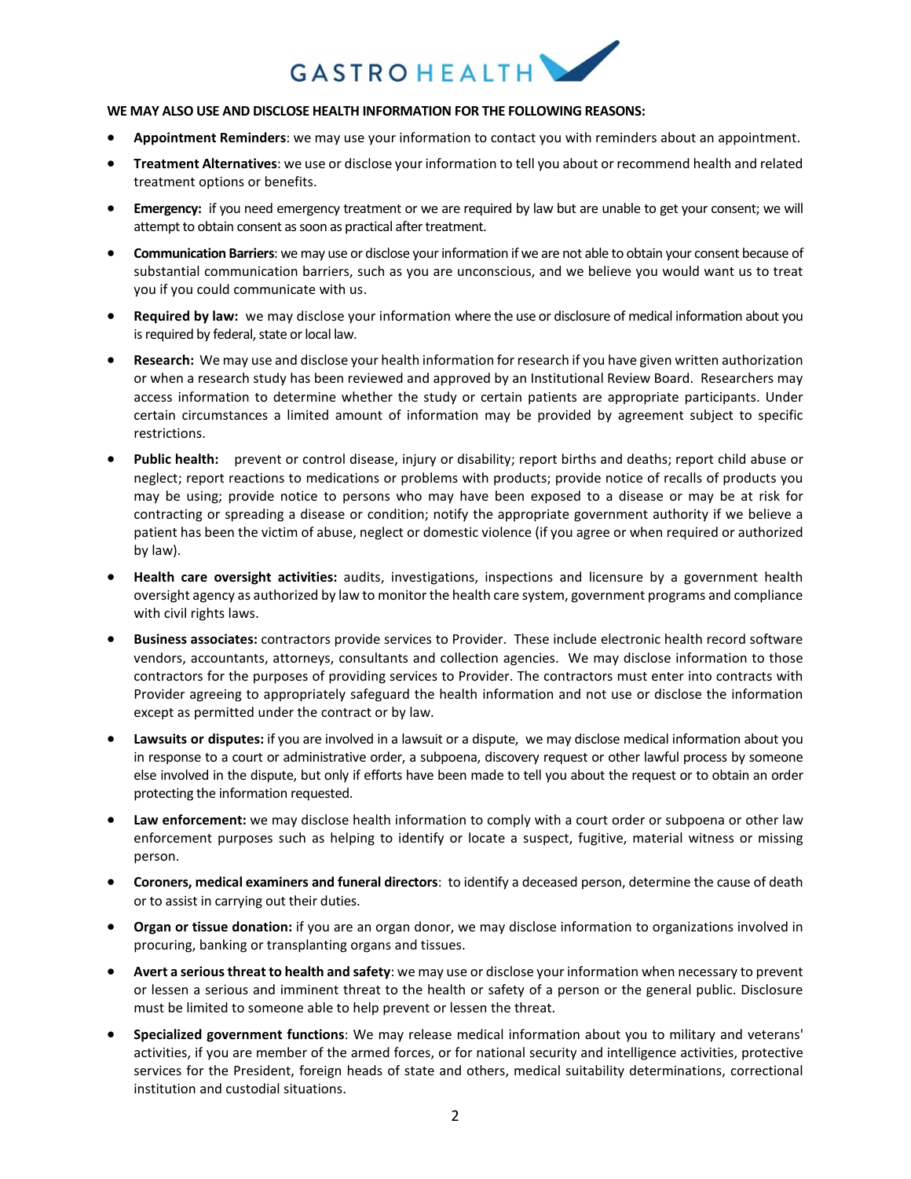

# **WE MAY ALSO USE AND DISCLOSE HEALTH INFORMATION FOR THE FOLLOWING REASONS:**

- **Appointment Reminders**: we may use your information to contact you with reminders about an appointment.
- **Treatment Alternatives**: we use or disclose your information to tell you about or recommend health and related treatment options or benefits.
- **Emergency:** if you need emergency treatment or we are required by law but are unable to get your consent; we will attempt to obtain consent as soon as practical after treatment.
- **Communication Barriers**: we may use or disclose your information if we are not able to obtain your consent because of substantial communication barriers, such as you are unconscious, and we believe you would want us to treat you if you could communicate with us.
- **Required by law:** we may disclose your information where the use or disclosure of medical information about you is required by federal, state or local law.
- **Research:** We may use and disclose your health information for research if you have given written authorization or when a research study has been reviewed and approved by an Institutional Review Board. Researchers may access information to determine whether the study or certain patients are appropriate participants. Under certain circumstances a limited amount of information may be provided by agreement subject to specific restrictions.
- **Public health:** prevent or control disease, injury or disability; report births and deaths; report child abuse or neglect; report reactions to medications or problems with products; provide notice of recalls of products you may be using; provide notice to persons who may have been exposed to a disease or may be at risk for contracting or spreading a disease or condition; notify the appropriate government authority if we believe a patient has been the victim of abuse, neglect or domestic violence (if you agree or when required or authorized by law).
- **Health care oversight activities:** audits, investigations, inspections and licensure by a government health oversight agency as authorized by law to monitor the health care system, government programs and compliance with civil rights laws.
- **Business associates:** contractors provide services to Provider. These include electronic health record software vendors, accountants, attorneys, consultants and collection agencies. We may disclose information to those contractors for the purposes of providing services to Provider. The contractors must enter into contracts with Provider agreeing to appropriately safeguard the health information and not use or disclose the information except as permitted under the contract or by law.
- Lawsuits or disputes: if you are involved in a lawsuit or a dispute, we may disclose medical information about you in response to a court or administrative order, a subpoena, discovery request or other lawful process by someone else involved in the dispute, but only if efforts have been made to tell you about the request or to obtain an order protecting the information requested.
- **Law enforcement:** we may disclose health information to comply with a court order or subpoena or other law enforcement purposes such as helping to identify or locate a suspect, fugitive, material witness or missing person.
- **Coroners, medical examiners and funeral directors**: to identify a deceased person, determine the cause of death or to assist in carrying out their duties.
- **Organ or tissue donation:** if you are an organ donor, we may disclose information to organizations involved in procuring, banking or transplanting organs and tissues.
- **Avert a serious threat to health and safety**: we may use or disclose your information when necessary to prevent or lessen a serious and imminent threat to the health or safety of a person or the general public. Disclosure must be limited to someone able to help prevent or lessen the threat.
- **Specialized government functions**: We may release medical information about you to military and veterans' activities, if you are member of the armed forces, or for national security and intelligence activities, protective services for the President, foreign heads of state and others, medical suitability determinations, correctional institution and custodial situations.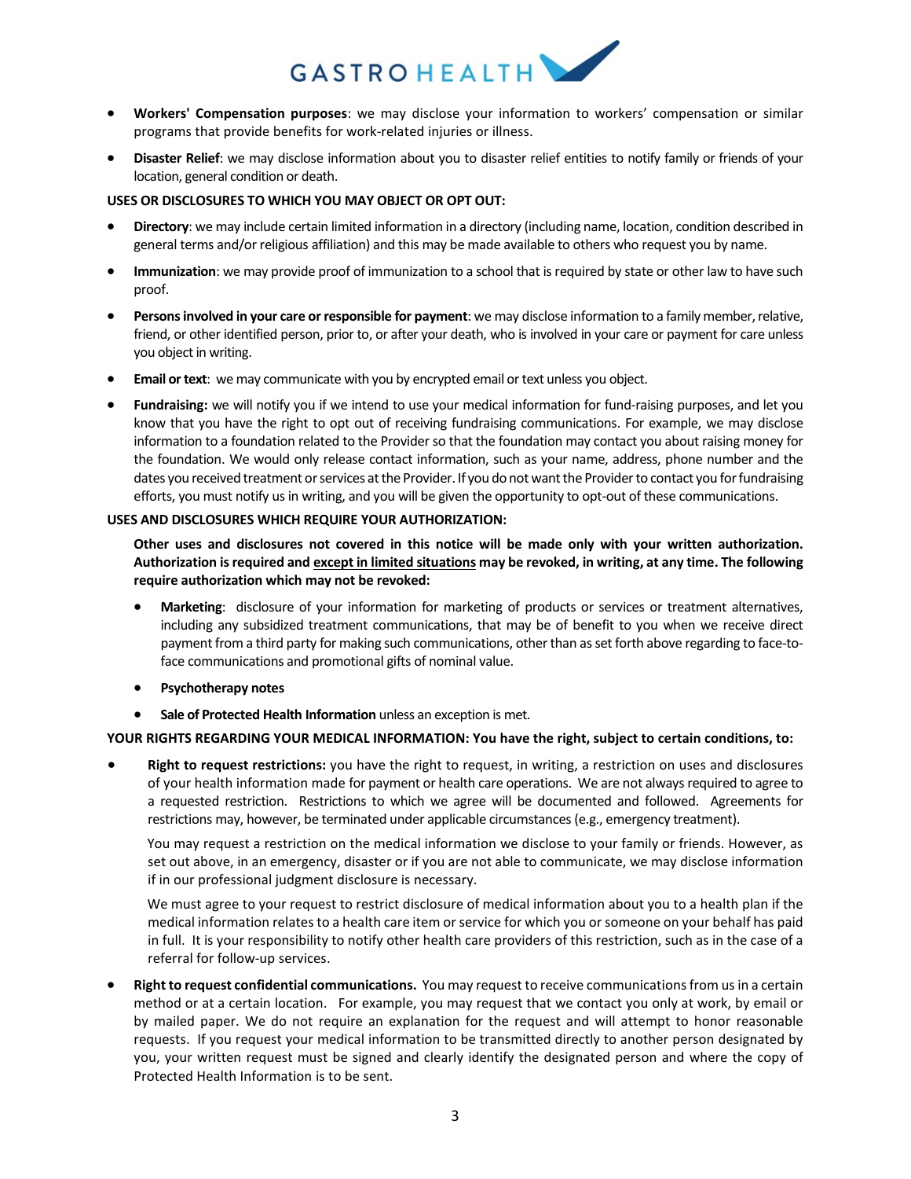

- **Workers' Compensation purposes**: we may disclose your information to workers' compensation or similar programs that provide benefits for work-related injuries or illness.
- **Disaster Relief**: we may disclose information about you to disaster relief entities to notify family or friends of your location, general condition or death.

#### **USES OR DISCLOSURES TO WHICH YOU MAY OBJECT OR OPT OUT:**

- **Directory**: we may include certain limited information in a directory (including name, location, condition described in general terms and/or religious affiliation) and this may be made available to others who request you by name.
- **Immunization**: we may provide proof of immunization to a school that is required by state or other law to have such proof.
- **Persons involved in your care or responsible for payment**: we may disclose information to a family member, relative, friend, or other identified person, prior to, or after your death, who is involved in your care or payment for care unless you object in writing.
- **Email or text**: we may communicate with you by encrypted email or text unless you object.
- **Fundraising:** we will notify you if we intend to use your medical information for fund-raising purposes, and let you know that you have the right to opt out of receiving fundraising communications. For example, we may disclose information to a foundation related to the Provider so that the foundation may contact you about raising money for the foundation. We would only release contact information, such as your name, address, phone number and the dates you received treatment or services at the Provider. If you do not want the Provider to contact you for fundraising efforts, you must notify us in writing, and you will be given the opportunity to opt-out of these communications.

#### **USES AND DISCLOSURES WHICH REQUIRE YOUR AUTHORIZATION:**

**Other uses and disclosures not covered in this notice will be made only with your written authorization. Authorization is required and except in limited situations may be revoked, in writing, at any time. The following require authorization which may not be revoked:** 

- **Marketing**: disclosure of your information for marketing of products or services or treatment alternatives, including any subsidized treatment communications, that may be of benefit to you when we receive direct payment from a third party for making such communications, other than as set forth above regarding to face-toface communications and promotional gifts of nominal value.
- **Psychotherapy notes**
- **Sale of Protected Health Information** unless an exception is met.

#### **YOUR RIGHTS REGARDING YOUR MEDICAL INFORMATION: You have the right, subject to certain conditions, to:**

• **Right to request restrictions:** you have the right to request, in writing, a restriction on uses and disclosures of your health information made for payment or health care operations. We are not always required to agree to a requested restriction. Restrictions to which we agree will be documented and followed. Agreements for restrictions may, however, be terminated under applicable circumstances (e.g., emergency treatment).

You may request a restriction on the medical information we disclose to your family or friends. However, as set out above, in an emergency, disaster or if you are not able to communicate, we may disclose information if in our professional judgment disclosure is necessary.

We must agree to your request to restrict disclosure of medical information about you to a health plan if the medical information relates to a health care item or service for which you or someone on your behalf has paid in full. It is your responsibility to notify other health care providers of this restriction, such as in the case of a referral for follow-up services.

• **Right to request confidential communications.** You may request to receive communications from us in a certain method or at a certain location. For example, you may request that we contact you only at work, by email or by mailed paper. We do not require an explanation for the request and will attempt to honor reasonable requests. If you request your medical information to be transmitted directly to another person designated by you, your written request must be signed and clearly identify the designated person and where the copy of Protected Health Information is to be sent.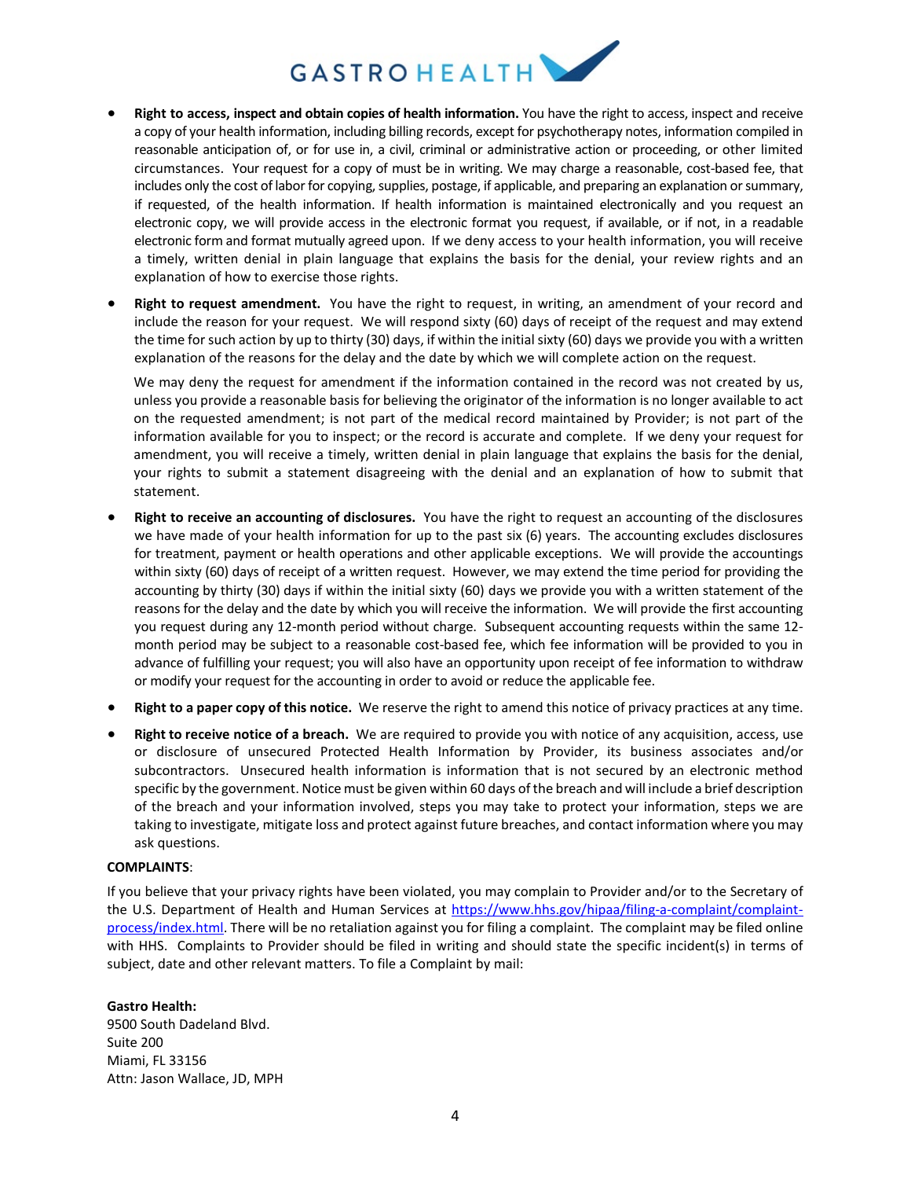

- **Right to access, inspect and obtain copies of health information.** You have the right to access, inspect and receive a copy of your health information, including billing records, except for psychotherapy notes, information compiled in reasonable anticipation of, or for use in, a civil, criminal or administrative action or proceeding, or other limited circumstances. Your request for a copy of must be in writing. We may charge a reasonable, cost-based fee, that includes only the cost of labor for copying, supplies, postage, if applicable, and preparing an explanation or summary, if requested, of the health information. If health information is maintained electronically and you request an electronic copy, we will provide access in the electronic format you request, if available, or if not, in a readable electronic form and format mutually agreed upon. If we deny access to your health information, you will receive a timely, written denial in plain language that explains the basis for the denial, your review rights and an explanation of how to exercise those rights.
- **Right to request amendment.** You have the right to request, in writing, an amendment of your record and include the reason for your request. We will respond sixty (60) days of receipt of the request and may extend the time for such action by up to thirty (30) days, if within the initial sixty (60) days we provide you with a written explanation of the reasons for the delay and the date by which we will complete action on the request.

We may deny the request for amendment if the information contained in the record was not created by us, unless you provide a reasonable basis for believing the originator of the information is no longer available to act on the requested amendment; is not part of the medical record maintained by Provider; is not part of the information available for you to inspect; or the record is accurate and complete. If we deny your request for amendment, you will receive a timely, written denial in plain language that explains the basis for the denial, your rights to submit a statement disagreeing with the denial and an explanation of how to submit that statement.

- **Right to receive an accounting of disclosures.** You have the right to request an accounting of the disclosures we have made of your health information for up to the past six (6) years. The accounting excludes disclosures for treatment, payment or health operations and other applicable exceptions. We will provide the accountings within sixty (60) days of receipt of a written request. However, we may extend the time period for providing the accounting by thirty (30) days if within the initial sixty (60) days we provide you with a written statement of the reasons for the delay and the date by which you will receive the information. We will provide the first accounting you request during any 12-month period without charge. Subsequent accounting requests within the same 12 month period may be subject to a reasonable cost-based fee, which fee information will be provided to you in advance of fulfilling your request; you will also have an opportunity upon receipt of fee information to withdraw or modify your request for the accounting in order to avoid or reduce the applicable fee.
- **Right to a paper copy of this notice.** We reserve the right to amend this notice of privacy practices at any time.
- **Right to receive notice of a breach.** We are required to provide you with notice of any acquisition, access, use or disclosure of unsecured Protected Health Information by Provider, its business associates and/or subcontractors. Unsecured health information is information that is not secured by an electronic method specific by the government. Notice must be given within 60 days of the breach and will include a brief description of the breach and your information involved, steps you may take to protect your information, steps we are taking to investigate, mitigate loss and protect against future breaches, and contact information where you may ask questions.

#### **COMPLAINTS**:

If you believe that your privacy rights have been violated, you may complain to Provider and/or to the Secretary of the U.S. Department of Health and Human Services at [https://www.hhs.gov/hipaa/filing-a-complaint/complaint](https://www.hhs.gov/hipaa/filing-a-complaint/complaint-process/index.html)[process/index.html.](https://www.hhs.gov/hipaa/filing-a-complaint/complaint-process/index.html) There will be no retaliation against you for filing a complaint. The complaint may be filed online with HHS. Complaints to Provider should be filed in writing and should state the specific incident(s) in terms of subject, date and other relevant matters. To file a Complaint by mail:

**Gastro Health:**  9500 South Dadeland Blvd. Suite 200 Miami, FL 33156 Attn: Jason Wallace, JD, MPH